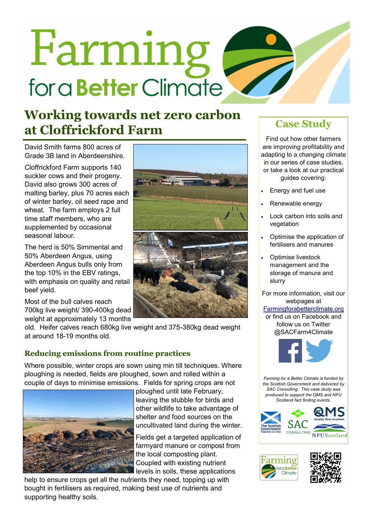# Farming for a **Better** Climate

## **Working towards net zero carbon**  at Cloffrickford Farm **Case Study**

David Smith farms 800 acres of Grade 3B land in Aberdeenshire.

Cloffrickford Farm supports 140 suckler cows and their progeny. David also grows 300 acres of malting barley, plus 70 acres each of winter barley, oil seed rape and wheat. The farm employs 2 full time staff members, who are supplemented by occasional seasonal labour.

The herd is 50% Simmental and 50% Aberdeen Angus, using Aberdeen Angus bulls only from the top 10% in the EBV ratings, with emphasis on quality and retail beef yield.

Most of the bull calves reach 700kg live weight/ 390-400kg dead weight at approximately 13 months

old. Heifer calves reach 680kg live weight and 375-380kg dead weight at around 18-19 months old.

### **Reducing emissions from routine practices**

Where possible, winter crops are sown using min till techniques. Where ploughing is needed, fields are ploughed, sown and rolled within a couple of days to minimise emissions. Fields for spring crops are not



ploughed until late February, leaving the stubble for birds and other wildlife to take advantage of shelter and food sources on the uncultivated land during the winter.

Fields get a targeted application of farmyard manure or compost from the local composting plant. Coupled with existing nutrient levels in soils, these applications

help to ensure crops get all the nutrients they need, topping up with bought in fertilisers as required, making best use of nutrients and supporting healthy soils.



Find out how other farmers are improving profitability and adapting to a changing climate in our series of case studies, or take a look at our practical guides covering:

- Energy and fuel use
- Renewable energy
- Lock carbon into soils and vegetation
- Optimise the application of fertilisers and manures
- Optimise livestock management and the storage of manure and slurry

For more information, visit our webpages at

#### [Farmingforabetterclimate.org](http://www.farmingforabetterclimate.org/)

or find us on Facebook and follow us on Twitter @SACFarm4Climate



*Farming for a Better Climate is funded by the Scottish Government and delivered by SAC Consulting. This case study was produced to support the QMS and NFU Scotland fact finding events.*